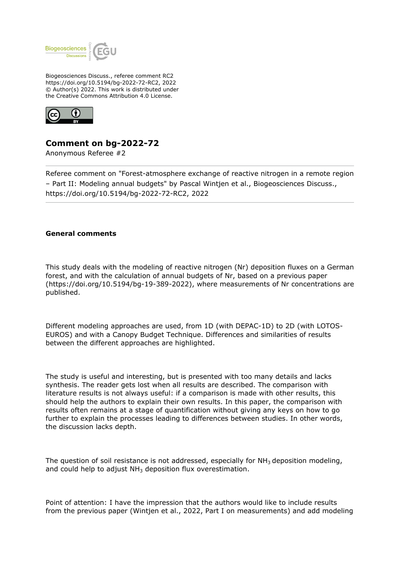

Biogeosciences Discuss., referee comment RC2 https://doi.org/10.5194/bg-2022-72-RC2, 2022 © Author(s) 2022. This work is distributed under the Creative Commons Attribution 4.0 License.



# **Comment on bg-2022-72**

Anonymous Referee #2

Referee comment on "Forest-atmosphere exchange of reactive nitrogen in a remote region – Part II: Modeling annual budgets" by Pascal Wintjen et al., Biogeosciences Discuss., https://doi.org/10.5194/bg-2022-72-RC2, 2022

# **General comments**

This study deals with the modeling of reactive nitrogen (Nr) deposition fluxes on a German forest, and with the calculation of annual budgets of Nr, based on a previous paper (https://doi.org/10.5194/bg-19-389-2022), where measurements of Nr concentrations are published.

Different modeling approaches are used, from 1D (with DEPAC-1D) to 2D (with LOTOS-EUROS) and with a Canopy Budget Technique. Differences and similarities of results between the different approaches are highlighted.

The study is useful and interesting, but is presented with too many details and lacks synthesis. The reader gets lost when all results are described. The comparison with literature results is not always useful: if a comparison is made with other results, this should help the authors to explain their own results. In this paper, the comparison with results often remains at a stage of quantification without giving any keys on how to go further to explain the processes leading to differences between studies. In other words, the discussion lacks depth.

The question of soil resistance is not addressed, especially for  $NH<sub>3</sub>$  deposition modeling, and could help to adjust  $NH<sub>3</sub>$  deposition flux overestimation.

Point of attention: I have the impression that the authors would like to include results from the previous paper (Wintjen et al., 2022, Part I on measurements) and add modeling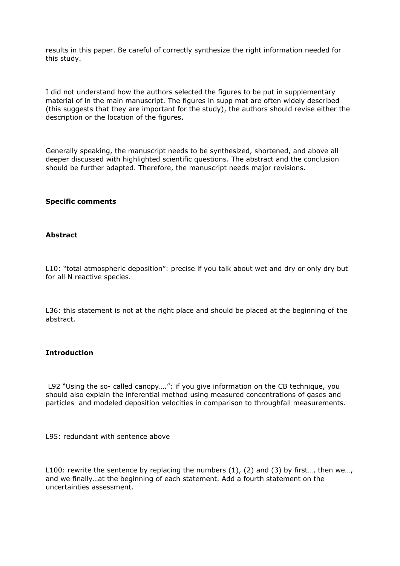results in this paper. Be careful of correctly synthesize the right information needed for this study.

I did not understand how the authors selected the figures to be put in supplementary material of in the main manuscript. The figures in supp mat are often widely described (this suggests that they are important for the study), the authors should revise either the description or the location of the figures.

Generally speaking, the manuscript needs to be synthesized, shortened, and above all deeper discussed with highlighted scientific questions. The abstract and the conclusion should be further adapted. Therefore, the manuscript needs major revisions.

## **Specific comments**

# **Abstract**

L10: "total atmospheric deposition": precise if you talk about wet and dry or only dry but for all N reactive species.

L36: this statement is not at the right place and should be placed at the beginning of the abstract.

## **Introduction**

 L92 "Using the so- called canopy….": if you give information on the CB technique, you should also explain the inferential method using measured concentrations of gases and particles and modeled deposition velocities in comparison to throughfall measurements.

L95: redundant with sentence above

L100: rewrite the sentence by replacing the numbers  $(1)$ ,  $(2)$  and  $(3)$  by first..., then we... and we finally…at the beginning of each statement. Add a fourth statement on the uncertainties assessment.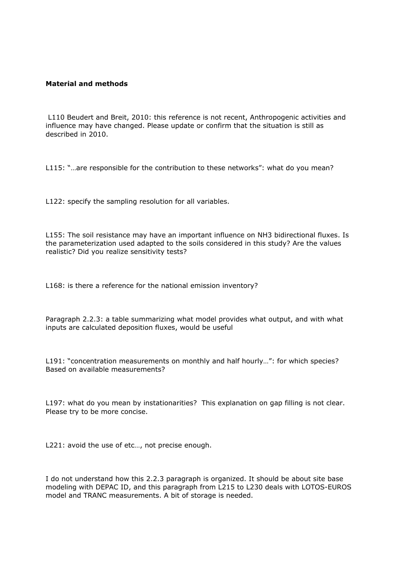## **Material and methods**

 L110 Beudert and Breit, 2010: this reference is not recent, Anthropogenic activities and influence may have changed. Please update or confirm that the situation is still as described in 2010.

L115: "…are responsible for the contribution to these networks": what do you mean?

L122: specify the sampling resolution for all variables.

L155: The soil resistance may have an important influence on NH3 bidirectional fluxes. Is the parameterization used adapted to the soils considered in this study? Are the values realistic? Did you realize sensitivity tests?

L168: is there a reference for the national emission inventory?

Paragraph 2.2.3: a table summarizing what model provides what output, and with what inputs are calculated deposition fluxes, would be useful

L191: "concentration measurements on monthly and half hourly…": for which species? Based on available measurements?

L197: what do you mean by instationarities? This explanation on gap filling is not clear. Please try to be more concise.

L221: avoid the use of etc..., not precise enough.

I do not understand how this 2.2.3 paragraph is organized. It should be about site base modeling with DEPAC ID, and this paragraph from L215 to L230 deals with LOTOS-EUROS model and TRANC measurements. A bit of storage is needed.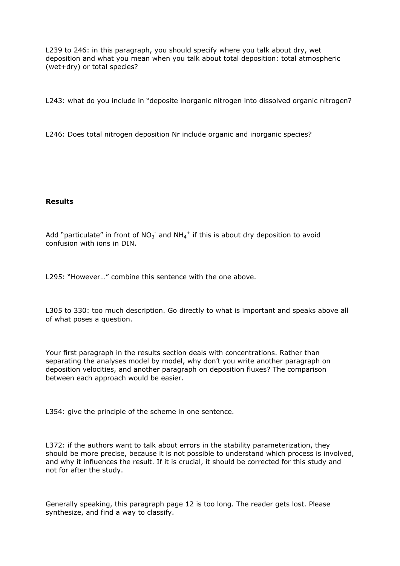L239 to 246: in this paragraph, you should specify where you talk about dry, wet deposition and what you mean when you talk about total deposition: total atmospheric (wet+dry) or total species?

L243: what do you include in "deposite inorganic nitrogen into dissolved organic nitrogen?

L246: Does total nitrogen deposition Nr include organic and inorganic species?

## **Results**

Add "particulate" in front of  $NO_3^-$  and  $NH_4^+$  if this is about dry deposition to avoid confusion with ions in DIN.

L295: "However…" combine this sentence with the one above.

L305 to 330: too much description. Go directly to what is important and speaks above all of what poses a question.

Your first paragraph in the results section deals with concentrations. Rather than separating the analyses model by model, why don't you write another paragraph on deposition velocities, and another paragraph on deposition fluxes? The comparison between each approach would be easier.

L354: give the principle of the scheme in one sentence.

L372: if the authors want to talk about errors in the stability parameterization, they should be more precise, because it is not possible to understand which process is involved, and why it influences the result. If it is crucial, it should be corrected for this study and not for after the study.

Generally speaking, this paragraph page 12 is too long. The reader gets lost. Please synthesize, and find a way to classify.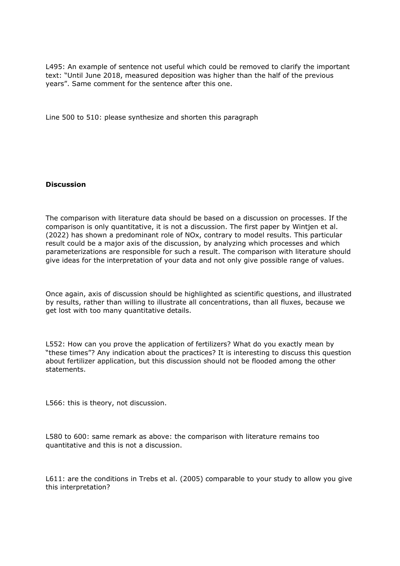L495: An example of sentence not useful which could be removed to clarify the important text: "Until June 2018, measured deposition was higher than the half of the previous years". Same comment for the sentence after this one.

Line 500 to 510: please synthesize and shorten this paragraph

#### **Discussion**

The comparison with literature data should be based on a discussion on processes. If the comparison is only quantitative, it is not a discussion. The first paper by Wintjen et al. (2022) has shown a predominant role of NOx, contrary to model results. This particular result could be a major axis of the discussion, by analyzing which processes and which parameterizations are responsible for such a result. The comparison with literature should give ideas for the interpretation of your data and not only give possible range of values.

Once again, axis of discussion should be highlighted as scientific questions, and illustrated by results, rather than willing to illustrate all concentrations, than all fluxes, because we get lost with too many quantitative details.

L552: How can you prove the application of fertilizers? What do you exactly mean by "these times"? Any indication about the practices? It is interesting to discuss this question about fertilizer application, but this discussion should not be flooded among the other statements.

L566: this is theory, not discussion.

L580 to 600: same remark as above: the comparison with literature remains too quantitative and this is not a discussion.

L611: are the conditions in Trebs et al. (2005) comparable to your study to allow you give this interpretation?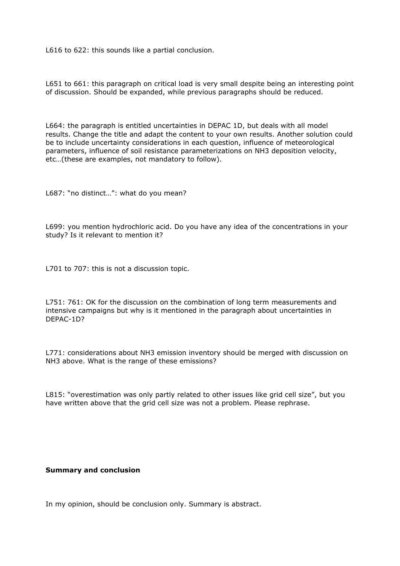L616 to 622: this sounds like a partial conclusion.

L651 to 661: this paragraph on critical load is very small despite being an interesting point of discussion. Should be expanded, while previous paragraphs should be reduced.

L664: the paragraph is entitled uncertainties in DEPAC 1D, but deals with all model results. Change the title and adapt the content to your own results. Another solution could be to include uncertainty considerations in each question, influence of meteorological parameters, influence of soil resistance parameterizations on NH3 deposition velocity, etc…(these are examples, not mandatory to follow).

L687: "no distinct…": what do you mean?

L699: you mention hydrochloric acid. Do you have any idea of the concentrations in your study? Is it relevant to mention it?

L701 to 707: this is not a discussion topic.

L751: 761: OK for the discussion on the combination of long term measurements and intensive campaigns but why is it mentioned in the paragraph about uncertainties in DEPAC-1D?

L771: considerations about NH3 emission inventory should be merged with discussion on NH3 above. What is the range of these emissions?

L815: "overestimation was only partly related to other issues like grid cell size", but you have written above that the grid cell size was not a problem. Please rephrase.

#### **Summary and conclusion**

In my opinion, should be conclusion only. Summary is abstract.